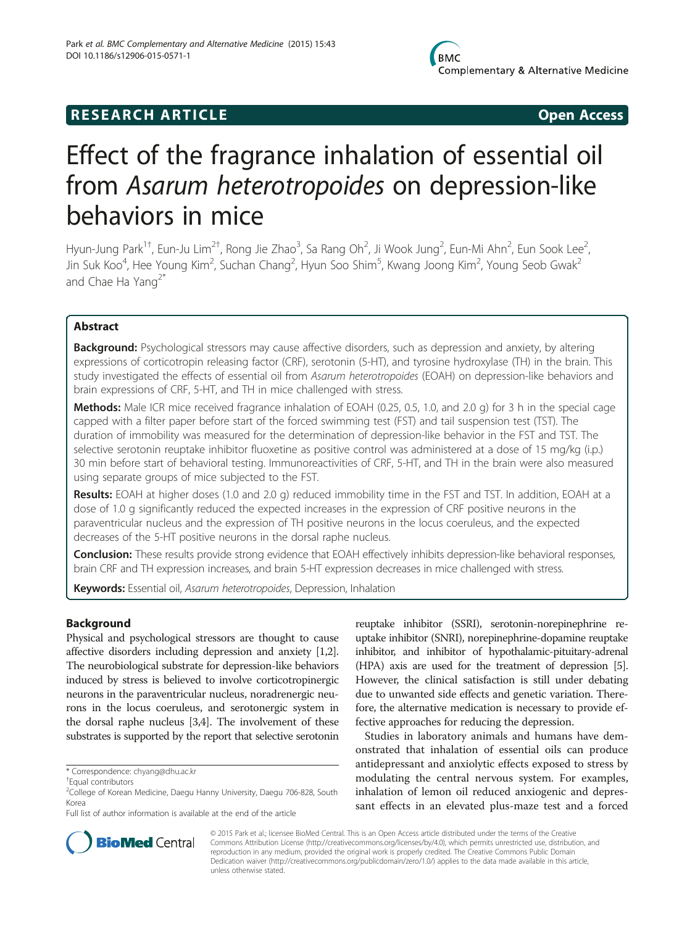# **RESEARCH ARTICLE Example 2018 12:00 Open Access**

# Effect of the fragrance inhalation of essential oil from Asarum heterotropoides on depression-like behaviors in mice

Hyun-Jung Park<sup>1†</sup>, Eun-Ju Lim<sup>2†</sup>, Rong Jie Zhao<sup>3</sup>, Sa Rang Oh<sup>2</sup>, Ji Wook Jung<sup>2</sup>, Eun-Mi Ahn<sup>2</sup>, Eun Sook Lee<sup>2</sup> , Jin Suk Koo $^4$ , Hee Young Kim $^2$ , Suchan Chang $^2$ , Hyun Soo Shim $^5$ , Kwang Joong Kim $^2$ , Young Seob Gwak $^2$ and Chae Ha Yang<sup>2\*</sup>

# Abstract

Background: Psychological stressors may cause affective disorders, such as depression and anxiety, by altering expressions of corticotropin releasing factor (CRF), serotonin (5-HT), and tyrosine hydroxylase (TH) in the brain. This study investigated the effects of essential oil from Asarum heterotropoides (EOAH) on depression-like behaviors and brain expressions of CRF, 5-HT, and TH in mice challenged with stress.

Methods: Male ICR mice received fragrance inhalation of EOAH (0.25, 0.5, 1.0, and 2.0 g) for 3 h in the special cage capped with a filter paper before start of the forced swimming test (FST) and tail suspension test (TST). The duration of immobility was measured for the determination of depression-like behavior in the FST and TST. The selective serotonin reuptake inhibitor fluoxetine as positive control was administered at a dose of 15 mg/kg (i.p.) 30 min before start of behavioral testing. Immunoreactivities of CRF, 5-HT, and TH in the brain were also measured using separate groups of mice subjected to the FST.

Results: EOAH at higher doses (1.0 and 2.0 g) reduced immobility time in the FST and TST. In addition, EOAH at a dose of 1.0 g significantly reduced the expected increases in the expression of CRF positive neurons in the paraventricular nucleus and the expression of TH positive neurons in the locus coeruleus, and the expected decreases of the 5-HT positive neurons in the dorsal raphe nucleus.

Conclusion: These results provide strong evidence that EOAH effectively inhibits depression-like behavioral responses, brain CRF and TH expression increases, and brain 5-HT expression decreases in mice challenged with stress.

**Keywords:** Essential oil, Asarum heterotropoides, Depression, Inhalation

# Background

Physical and psychological stressors are thought to cause affective disorders including depression and anxiety [[1,2](#page-6-0)]. The neurobiological substrate for depression-like behaviors induced by stress is believed to involve corticotropinergic neurons in the paraventricular nucleus, noradrenergic neurons in the locus coeruleus, and serotonergic system in the dorsal raphe nucleus [\[3,4](#page-6-0)]. The involvement of these substrates is supported by the report that selective serotonin

reuptake inhibitor (SSRI), serotonin-norepinephrine reuptake inhibitor (SNRI), norepinephrine-dopamine reuptake inhibitor, and inhibitor of hypothalamic-pituitary-adrenal (HPA) axis are used for the treatment of depression [\[5](#page-6-0)]. However, the clinical satisfaction is still under debating due to unwanted side effects and genetic variation. Therefore, the alternative medication is necessary to provide effective approaches for reducing the depression.

Studies in laboratory animals and humans have demonstrated that inhalation of essential oils can produce antidepressant and anxiolytic effects exposed to stress by modulating the central nervous system. For examples, inhalation of lemon oil reduced anxiogenic and depressant effects in an elevated plus-maze test and a forced



© 2015 Park et al.; licensee BioMed Central. This is an Open Access article distributed under the terms of the Creative Commons Attribution License [\(http://creativecommons.org/licenses/by/4.0\)](http://creativecommons.org/licenses/by/4.0), which permits unrestricted use, distribution, and reproduction in any medium, provided the original work is properly credited. The Creative Commons Public Domain Dedication waiver [\(http://creativecommons.org/publicdomain/zero/1.0/](http://creativecommons.org/publicdomain/zero/1.0/)) applies to the data made available in this article, unless otherwise stated.

<sup>\*</sup> Correspondence: [chyang@dhu.ac.kr](mailto:chyang@dhu.ac.kr) †

Equal contributors

<sup>&</sup>lt;sup>2</sup>College of Korean Medicine, Daegu Hanny University, Daegu 706-828, South Korea

Full list of author information is available at the end of the article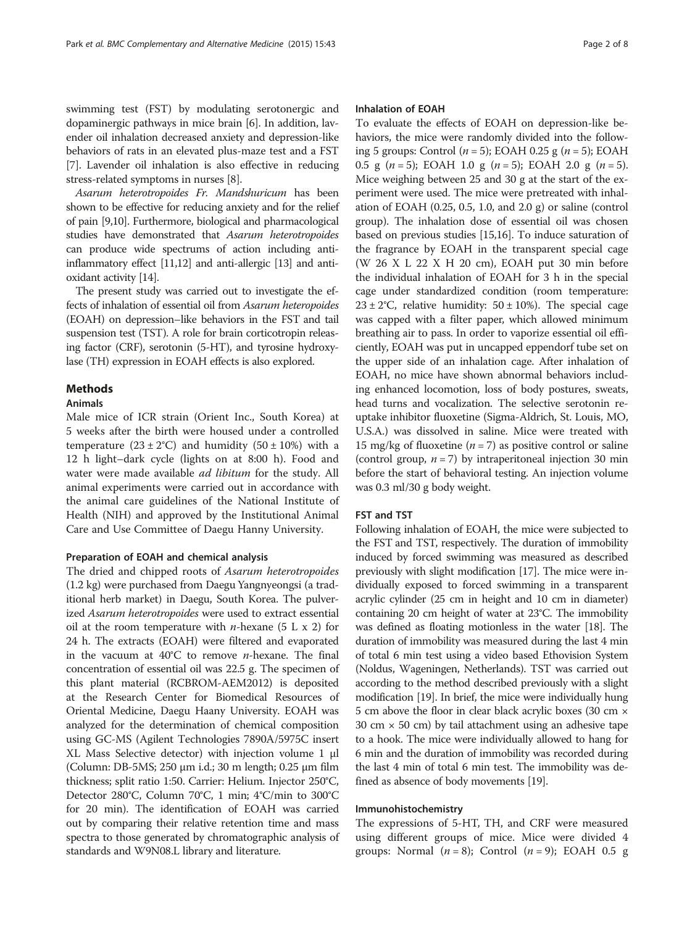swimming test (FST) by modulating serotonergic and dopaminergic pathways in mice brain [[6](#page-6-0)]. In addition, lavender oil inhalation decreased anxiety and depression-like behaviors of rats in an elevated plus-maze test and a FST [[7\]](#page-6-0). Lavender oil inhalation is also effective in reducing stress-related symptoms in nurses [[8](#page-6-0)].

Asarum heterotropoides Fr. Mandshuricum has been shown to be effective for reducing anxiety and for the relief of pain [\[9,10](#page-6-0)]. Furthermore, biological and pharmacological studies have demonstrated that Asarum heterotropoides can produce wide spectrums of action including antiinflammatory effect [\[11,12](#page-6-0)] and anti-allergic [\[13\]](#page-6-0) and antioxidant activity [\[14](#page-6-0)].

The present study was carried out to investigate the effects of inhalation of essential oil from Asarum heteropoides (EOAH) on depression–like behaviors in the FST and tail suspension test (TST). A role for brain corticotropin releasing factor (CRF), serotonin (5-HT), and tyrosine hydroxylase (TH) expression in EOAH effects is also explored.

# Methods

# Animals

Male mice of ICR strain (Orient Inc., South Korea) at 5 weeks after the birth were housed under a controlled temperature  $(23 \pm 2^{\circ}\text{C})$  and humidity  $(50 \pm 10\%)$  with a 12 h light–dark cycle (lights on at 8:00 h). Food and water were made available ad libitum for the study. All animal experiments were carried out in accordance with the animal care guidelines of the National Institute of Health (NIH) and approved by the Institutional Animal Care and Use Committee of Daegu Hanny University.

#### Preparation of EOAH and chemical analysis

The dried and chipped roots of Asarum heterotropoides (1.2 kg) were purchased from Daegu Yangnyeongsi (a traditional herb market) in Daegu, South Korea. The pulverized Asarum heterotropoides were used to extract essential oil at the room temperature with *n*-hexane  $(5 L x 2)$  for 24 h. The extracts (EOAH) were filtered and evaporated in the vacuum at  $40^{\circ}$ C to remove *n*-hexane. The final concentration of essential oil was 22.5 g. The specimen of this plant material (RCBROM-AEM2012) is deposited at the Research Center for Biomedical Resources of Oriental Medicine, Daegu Haany University. EOAH was analyzed for the determination of chemical composition using GC-MS (Agilent Technologies 7890A/5975C insert XL Mass Selective detector) with injection volume 1 μl (Column: DB-5MS; 250 μm i.d.; 30 m length; 0.25 μm film thickness; split ratio 1:50. Carrier: Helium. Injector 250°C, Detector 280°C, Column 70°C, 1 min; 4°C/min to 300°C for 20 min). The identification of EOAH was carried out by comparing their relative retention time and mass spectra to those generated by chromatographic analysis of standards and W9N08.L library and literature.

#### Inhalation of EOAH

To evaluate the effects of EOAH on depression-like behaviors, the mice were randomly divided into the following 5 groups: Control ( $n = 5$ ); EOAH 0.25 g ( $n = 5$ ); EOAH 0.5 g  $(n = 5)$ ; EOAH 1.0 g  $(n = 5)$ ; EOAH 2.0 g  $(n = 5)$ . Mice weighing between 25 and 30 g at the start of the experiment were used. The mice were pretreated with inhalation of EOAH (0.25, 0.5, 1.0, and 2.0 g) or saline (control group). The inhalation dose of essential oil was chosen based on previous studies [\[15,16](#page-6-0)]. To induce saturation of the fragrance by EOAH in the transparent special cage (W 26 X L 22 X H 20 cm), EOAH put 30 min before the individual inhalation of EOAH for 3 h in the special cage under standardized condition (room temperature:  $23 \pm 2$ °C, relative humidity:  $50 \pm 10$ %). The special cage was capped with a filter paper, which allowed minimum breathing air to pass. In order to vaporize essential oil efficiently, EOAH was put in uncapped eppendorf tube set on the upper side of an inhalation cage. After inhalation of EOAH, no mice have shown abnormal behaviors including enhanced locomotion, loss of body postures, sweats, head turns and vocalization. The selective serotonin reuptake inhibitor fluoxetine (Sigma-Aldrich, St. Louis, MO, U.S.A.) was dissolved in saline. Mice were treated with 15 mg/kg of fluoxetine ( $n = 7$ ) as positive control or saline (control group,  $n = 7$ ) by intraperitoneal injection 30 min before the start of behavioral testing. An injection volume was 0.3 ml/30 g body weight.

#### FST and TST

Following inhalation of EOAH, the mice were subjected to the FST and TST, respectively. The duration of immobility induced by forced swimming was measured as described previously with slight modification [[17](#page-6-0)]. The mice were individually exposed to forced swimming in a transparent acrylic cylinder (25 cm in height and 10 cm in diameter) containing 20 cm height of water at 23°C. The immobility was defined as floating motionless in the water [\[18\]](#page-6-0). The duration of immobility was measured during the last 4 min of total 6 min test using a video based Ethovision System (Noldus, Wageningen, Netherlands). TST was carried out according to the method described previously with a slight modification [\[19\]](#page-6-0). In brief, the mice were individually hung 5 cm above the floor in clear black acrylic boxes (30 cm × 30 cm  $\times$  50 cm) by tail attachment using an adhesive tape to a hook. The mice were individually allowed to hang for 6 min and the duration of immobility was recorded during the last 4 min of total 6 min test. The immobility was defined as absence of body movements [\[19\]](#page-6-0).

#### Immunohistochemistry

The expressions of 5-HT, TH, and CRF were measured using different groups of mice. Mice were divided 4 groups: Normal  $(n = 8)$ ; Control  $(n = 9)$ ; EOAH 0.5 g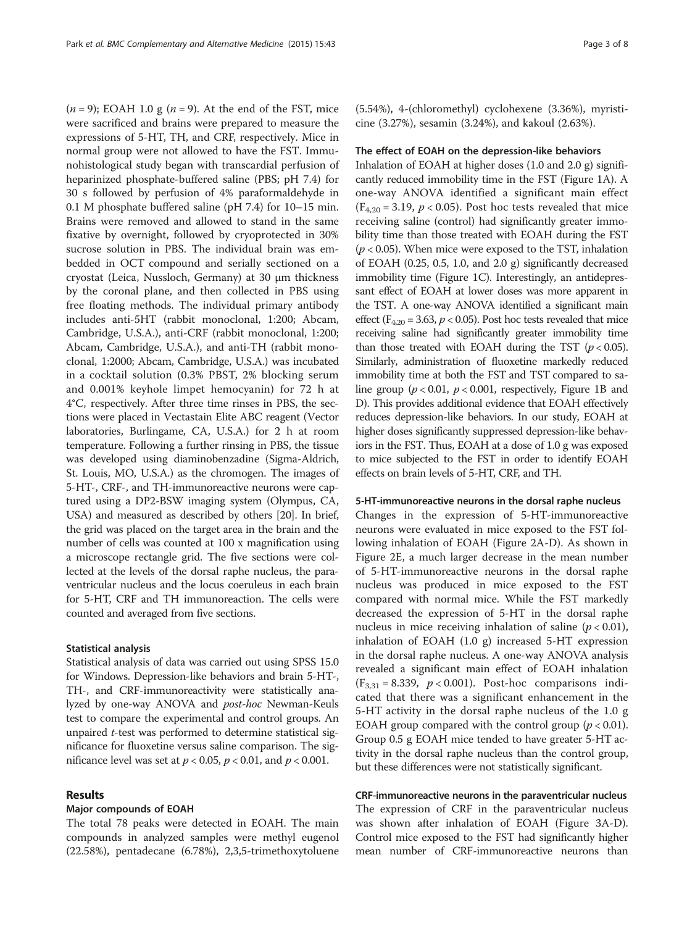$(n = 9)$ ; EOAH 1.0 g  $(n = 9)$ . At the end of the FST, mice were sacrificed and brains were prepared to measure the expressions of 5-HT, TH, and CRF, respectively. Mice in normal group were not allowed to have the FST. Immunohistological study began with transcardial perfusion of heparinized phosphate-buffered saline (PBS; pH 7.4) for 30 s followed by perfusion of 4% paraformaldehyde in 0.1 M phosphate buffered saline (pH 7.4) for 10–15 min. Brains were removed and allowed to stand in the same fixative by overnight, followed by cryoprotected in 30% sucrose solution in PBS. The individual brain was embedded in OCT compound and serially sectioned on a cryostat (Leica, Nussloch, Germany) at 30 μm thickness by the coronal plane, and then collected in PBS using free floating methods. The individual primary antibody includes anti-5HT (rabbit monoclonal, 1:200; Abcam, Cambridge, U.S.A.), anti-CRF (rabbit monoclonal, 1:200; Abcam, Cambridge, U.S.A.), and anti-TH (rabbit monoclonal, 1:2000; Abcam, Cambridge, U.S.A.) was incubated in a cocktail solution (0.3% PBST, 2% blocking serum and 0.001% keyhole limpet hemocyanin) for 72 h at 4°C, respectively. After three time rinses in PBS, the sections were placed in Vectastain Elite ABC reagent (Vector laboratories, Burlingame, CA, U.S.A.) for 2 h at room temperature. Following a further rinsing in PBS, the tissue was developed using diaminobenzadine (Sigma-Aldrich, St. Louis, MO, U.S.A.) as the chromogen. The images of 5-HT-, CRF-, and TH-immunoreactive neurons were captured using a DP2-BSW imaging system (Olympus, CA, USA) and measured as described by others [\[20\]](#page-6-0). In brief, the grid was placed on the target area in the brain and the number of cells was counted at 100 x magnification using a microscope rectangle grid. The five sections were collected at the levels of the dorsal raphe nucleus, the paraventricular nucleus and the locus coeruleus in each brain for 5-HT, CRF and TH immunoreaction. The cells were counted and averaged from five sections.

#### Statistical analysis

Statistical analysis of data was carried out using SPSS 15.0 for Windows. Depression-like behaviors and brain 5-HT-, TH-, and CRF-immunoreactivity were statistically analyzed by one-way ANOVA and *post-hoc* Newman-Keuls test to compare the experimental and control groups. An unpaired t-test was performed to determine statistical significance for fluoxetine versus saline comparison. The significance level was set at  $p < 0.05$ ,  $p < 0.01$ , and  $p < 0.001$ .

# Results

# Major compounds of EOAH

The total 78 peaks were detected in EOAH. The main compounds in analyzed samples were methyl eugenol (22.58%), pentadecane (6.78%), 2,3,5-trimethoxytoluene (5.54%), 4-(chloromethyl) cyclohexene (3.36%), myristicine (3.27%), sesamin (3.24%), and kakoul (2.63%).

#### The effect of EOAH on the depression-like behaviors

Inhalation of EOAH at higher doses (1.0 and 2.0 g) significantly reduced immobility time in the FST (Figure [1A](#page-3-0)). A one-way ANOVA identified a significant main effect  $(F_{4,20} = 3.19, p < 0.05)$ . Post hoc tests revealed that mice receiving saline (control) had significantly greater immobility time than those treated with EOAH during the FST  $(p < 0.05)$ . When mice were exposed to the TST, inhalation of EOAH (0.25, 0.5, 1.0, and 2.0 g) significantly decreased immobility time (Figure [1C](#page-3-0)). Interestingly, an antidepressant effect of EOAH at lower doses was more apparent in the TST. A one-way ANOVA identified a significant main effect ( $F_{4,20}$  = 3.63,  $p < 0.05$ ). Post hoc tests revealed that mice receiving saline had significantly greater immobility time than those treated with EOAH during the TST  $(p < 0.05)$ . Similarly, administration of fluoxetine markedly reduced immobility time at both the FST and TST compared to saline group ( $p < 0.01$ ,  $p < 0.001$ , respectively, Figure [1](#page-3-0)B and D). This provides additional evidence that EOAH effectively reduces depression-like behaviors. In our study, EOAH at higher doses significantly suppressed depression-like behaviors in the FST. Thus, EOAH at a dose of 1.0 g was exposed to mice subjected to the FST in order to identify EOAH effects on brain levels of 5-HT, CRF, and TH.

#### 5-HT-immunoreactive neurons in the dorsal raphe nucleus

Changes in the expression of 5-HT-immunoreactive neurons were evaluated in mice exposed to the FST following inhalation of EOAH (Figure [2A](#page-4-0)-D). As shown in Figure [2](#page-4-0)E, a much larger decrease in the mean number of 5-HT-immunoreactive neurons in the dorsal raphe nucleus was produced in mice exposed to the FST compared with normal mice. While the FST markedly decreased the expression of 5-HT in the dorsal raphe nucleus in mice receiving inhalation of saline  $(p < 0.01)$ , inhalation of EOAH (1.0 g) increased 5-HT expression in the dorsal raphe nucleus. A one-way ANOVA analysis revealed a significant main effect of EOAH inhalation  $(F_{3,31} = 8.339, p < 0.001)$ . Post-hoc comparisons indicated that there was a significant enhancement in the 5-HT activity in the dorsal raphe nucleus of the 1.0 g EOAH group compared with the control group ( $p < 0.01$ ). Group 0.5 g EOAH mice tended to have greater 5-HT activity in the dorsal raphe nucleus than the control group, but these differences were not statistically significant.

# CRF-immunoreactive neurons in the paraventricular nucleus

The expression of CRF in the paraventricular nucleus was shown after inhalation of EOAH (Figure [3A](#page-4-0)-D). Control mice exposed to the FST had significantly higher mean number of CRF-immunoreactive neurons than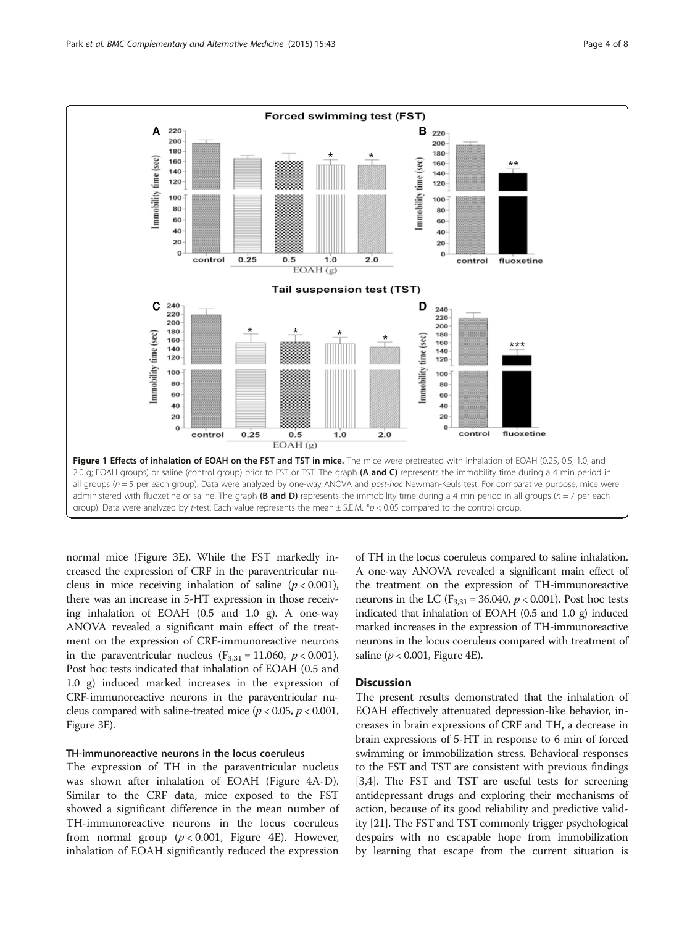<span id="page-3-0"></span>

normal mice (Figure [3](#page-4-0)E). While the FST markedly increased the expression of CRF in the paraventricular nucleus in mice receiving inhalation of saline  $(p < 0.001)$ , there was an increase in 5-HT expression in those receiving inhalation of EOAH (0.5 and 1.0 g). A one-way ANOVA revealed a significant main effect of the treatment on the expression of CRF-immunoreactive neurons in the paraventricular nucleus  $(F_{3,31} = 11.060, p < 0.001)$ . Post hoc tests indicated that inhalation of EOAH (0.5 and 1.0 g) induced marked increases in the expression of CRF-immunoreactive neurons in the paraventricular nucleus compared with saline-treated mice ( $p < 0.05$ ,  $p < 0.001$ , Figure [3E](#page-4-0)).

# TH-immunoreactive neurons in the locus coeruleus

The expression of TH in the paraventricular nucleus was shown after inhalation of EOAH (Figure [4A](#page-5-0)-D). Similar to the CRF data, mice exposed to the FST showed a significant difference in the mean number of TH-immunoreactive neurons in the locus coeruleus from normal group  $(p < 0.001$ , Figure [4](#page-5-0)E). However, inhalation of EOAH significantly reduced the expression of TH in the locus coeruleus compared to saline inhalation. A one-way ANOVA revealed a significant main effect of the treatment on the expression of TH-immunoreactive neurons in the LC ( $F_{3,31} = 36.040$ ,  $p < 0.001$ ). Post hoc tests indicated that inhalation of EOAH (0.5 and 1.0 g) induced marked increases in the expression of TH-immunoreactive neurons in the locus coeruleus compared with treatment of saline ( $p < 0.001$ , Figure [4E](#page-5-0)).

# **Discussion**

The present results demonstrated that the inhalation of EOAH effectively attenuated depression-like behavior, increases in brain expressions of CRF and TH, a decrease in brain expressions of 5-HT in response to 6 min of forced swimming or immobilization stress. Behavioral responses to the FST and TST are consistent with previous findings [[3,4](#page-6-0)]. The FST and TST are useful tests for screening antidepressant drugs and exploring their mechanisms of action, because of its good reliability and predictive validity [\[21\]](#page-6-0). The FST and TST commonly trigger psychological despairs with no escapable hope from immobilization by learning that escape from the current situation is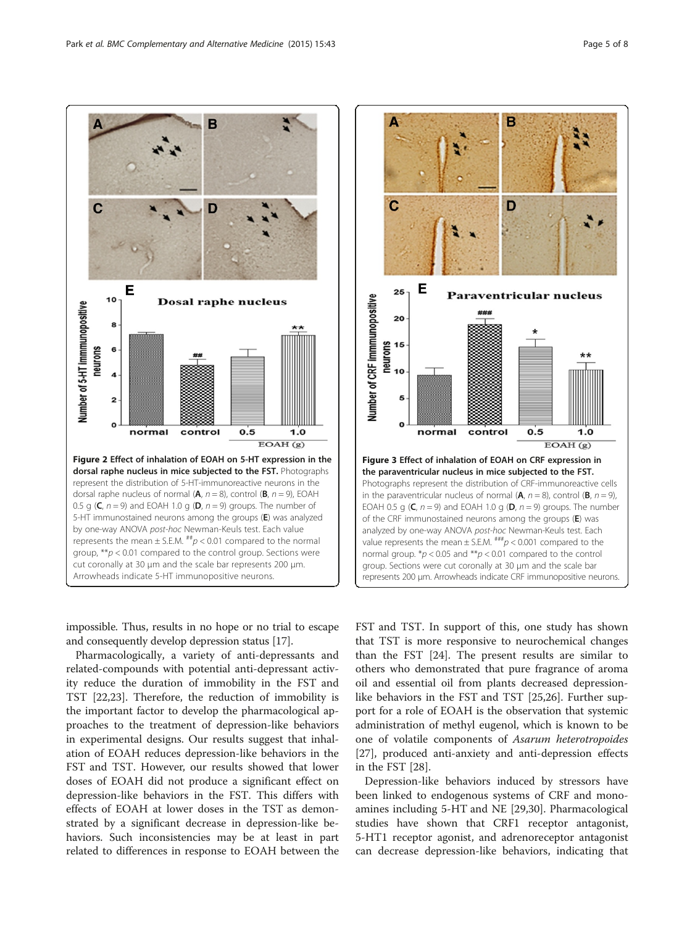<span id="page-4-0"></span>Park et al. BMC Complementary and Alternative Medicine (2015) 15:43 Page 5 of 8





impossible. Thus, results in no hope or no trial to escape and consequently develop depression status [\[17](#page-6-0)].

Pharmacologically, a variety of anti-depressants and related-compounds with potential anti-depressant activity reduce the duration of immobility in the FST and TST [[22](#page-6-0),[23](#page-6-0)]. Therefore, the reduction of immobility is the important factor to develop the pharmacological approaches to the treatment of depression-like behaviors in experimental designs. Our results suggest that inhalation of EOAH reduces depression-like behaviors in the FST and TST. However, our results showed that lower doses of EOAH did not produce a significant effect on depression-like behaviors in the FST. This differs with effects of EOAH at lower doses in the TST as demonstrated by a significant decrease in depression-like behaviors. Such inconsistencies may be at least in part related to differences in response to EOAH between the

FST and TST. In support of this, one study has shown that TST is more responsive to neurochemical changes than the FST [\[24\]](#page-6-0). The present results are similar to others who demonstrated that pure fragrance of aroma oil and essential oil from plants decreased depressionlike behaviors in the FST and TST [[25,26\]](#page-6-0). Further support for a role of EOAH is the observation that systemic administration of methyl eugenol, which is known to be one of volatile components of Asarum heterotropoides [[27\]](#page-6-0), produced anti-anxiety and anti-depression effects in the FST [\[28](#page-6-0)].

Depression-like behaviors induced by stressors have been linked to endogenous systems of CRF and monoamines including 5-HT and NE [[29,30\]](#page-6-0). Pharmacological studies have shown that CRF1 receptor antagonist, 5-HT1 receptor agonist, and adrenoreceptor antagonist can decrease depression-like behaviors, indicating that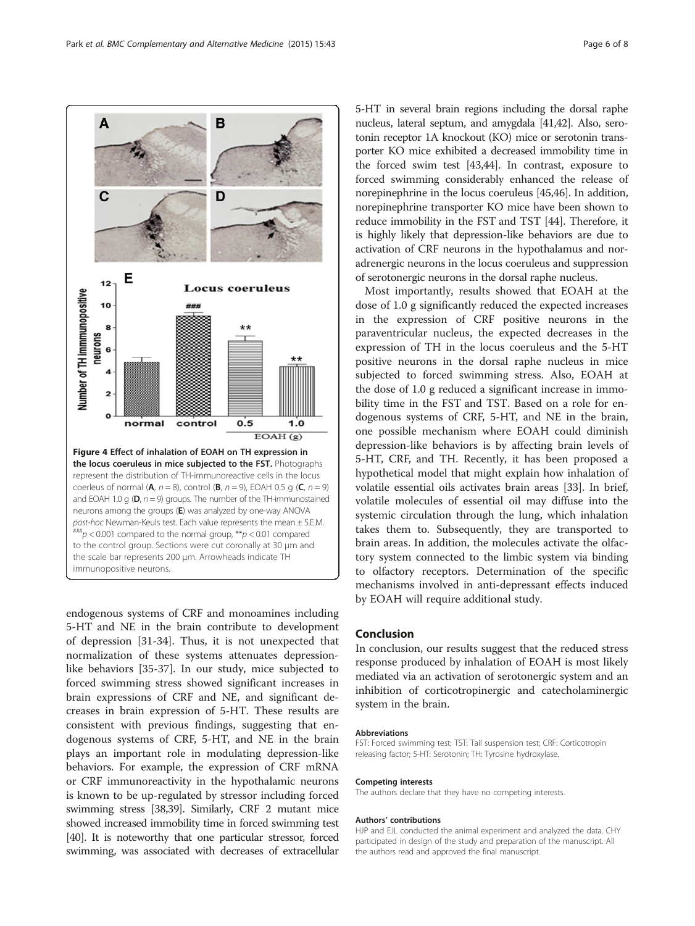endogenous systems of CRF and monoamines including

the forced swim test [[43,44](#page-7-0)]. In contrast, exposure to forced swimming considerably enhanced the release of norepinephrine in the locus coeruleus [[45](#page-7-0),[46](#page-7-0)]. In addition, norepinephrine transporter KO mice have been shown to reduce immobility in the FST and TST [\[44\]](#page-7-0). Therefore, it is highly likely that depression-like behaviors are due to activation of CRF neurons in the hypothalamus and noradrenergic neurons in the locus coeruleus and suppression of serotonergic neurons in the dorsal raphe nucleus. Most importantly, results showed that EOAH at the dose of 1.0 g significantly reduced the expected increases in the expression of CRF positive neurons in the paraventricular nucleus, the expected decreases in the expression of TH in the locus coeruleus and the 5-HT positive neurons in the dorsal raphe nucleus in mice subjected to forced swimming stress. Also, EOAH at the dose of 1.0 g reduced a significant increase in immobility time in the FST and TST. Based on a role for endogenous systems of CRF, 5-HT, and NE in the brain, one possible mechanism where EOAH could diminish depression-like behaviors is by affecting brain levels of 5-HT, CRF, and TH. Recently, it has been proposed a

5-HT in several brain regions including the dorsal raphe nucleus, lateral septum, and amygdala [\[41,42](#page-7-0)]. Also, serotonin receptor 1A knockout (KO) mice or serotonin transporter KO mice exhibited a decreased immobility time in

hypothetical model that might explain how inhalation of volatile essential oils activates brain areas [\[33\]](#page-6-0). In brief, volatile molecules of essential oil may diffuse into the systemic circulation through the lung, which inhalation takes them to. Subsequently, they are transported to brain areas. In addition, the molecules activate the olfactory system connected to the limbic system via binding to olfactory receptors. Determination of the specific mechanisms involved in anti-depressant effects induced by EOAH will require additional study.

# Conclusion

In conclusion, our results suggest that the reduced stress response produced by inhalation of EOAH is most likely mediated via an activation of serotonergic system and an inhibition of corticotropinergic and catecholaminergic system in the brain.

#### Abbreviations

FST: Forced swimming test; TST: Tail suspension test; CRF: Corticotropin releasing factor; 5-HT: Serotonin; TH: Tyrosine hydroxylase.

#### Competing interests

The authors declare that they have no competing interests.

#### Authors' contributions

HJP and EJL conducted the animal experiment and analyzed the data. CHY participated in design of the study and preparation of the manuscript. All the authors read and approved the final manuscript.

5-HT and NE in the brain contribute to development of depression [\[31-34](#page-6-0)]. Thus, it is not unexpected that normalization of these systems attenuates depressionlike behaviors [\[35-37](#page-6-0)]. In our study, mice subjected to forced swimming stress showed significant increases in brain expressions of CRF and NE, and significant decreases in brain expression of 5-HT. These results are consistent with previous findings, suggesting that endogenous systems of CRF, 5-HT, and NE in the brain plays an important role in modulating depression-like behaviors. For example, the expression of CRF mRNA or CRF immunoreactivity in the hypothalamic neurons is known to be up-regulated by stressor including forced swimming stress [[38,39](#page-6-0)]. Similarly, CRF 2 mutant mice showed increased immobility time in forced swimming test [[40](#page-7-0)]. It is noteworthy that one particular stressor, forced swimming, was associated with decreases of extracellular

<span id="page-5-0"></span>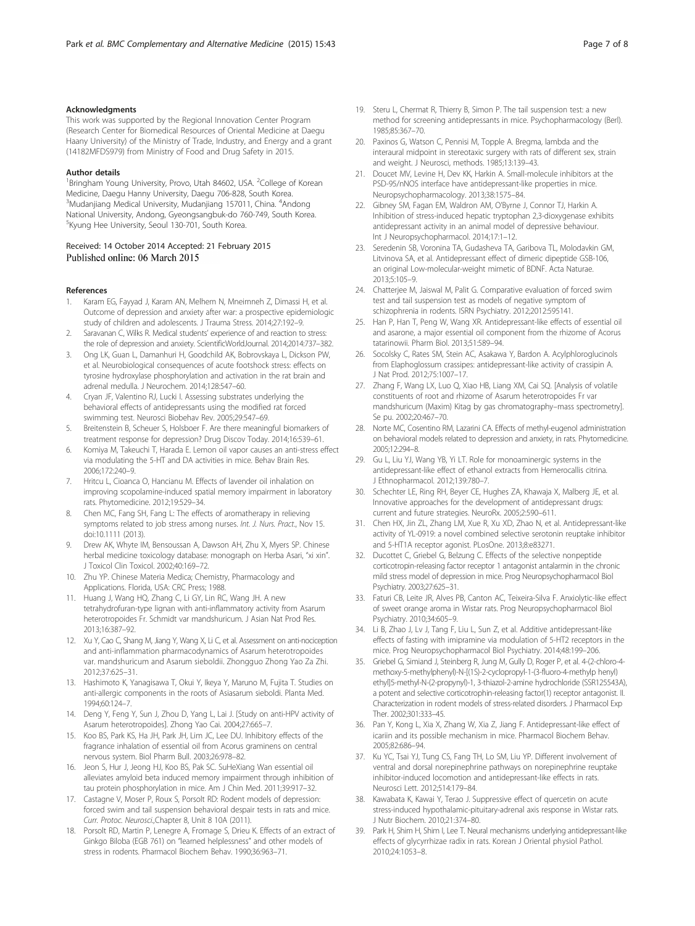#### <span id="page-6-0"></span>Acknowledgments

This work was supported by the Regional Innovation Center Program (Research Center for Biomedical Resources of Oriental Medicine at Daegu Haany University) of the Ministry of Trade, Industry, and Energy and a grant (14182MFDS979) from Ministry of Food and Drug Safety in 2015.

#### Author details

<sup>1</sup>Bringham Young University, Provo, Utah 84602, USA. <sup>2</sup>College of Korean Medicine, Daegu Hanny University, Daegu 706-828, South Korea. <sup>3</sup>Mudanjiang Medical University, Mudanjiang 157011, China. <sup>4</sup>Andong National University, Andong, Gyeongsangbuk-do 760-749, South Korea. 5 Kyung Hee University, Seoul 130-701, South Korea.

#### Received: 14 October 2014 Accepted: 21 February 2015 Published online: 06 March 2015

#### References

- Karam EG, Fayyad J, Karam AN, Melhem N, Mneimneh Z, Dimassi H, et al. Outcome of depression and anxiety after war: a prospective epidemiologic study of children and adolescents. J Trauma Stress. 2014;27:192–9.
- 2. Saravanan C, Wilks R. Medical students' experience of and reaction to stress: the role of depression and anxiety. ScientificWorldJournal. 2014;2014:737–382.
- 3. Ong LK, Guan L, Damanhuri H, Goodchild AK, Bobrovskaya L, Dickson PW, et al. Neurobiological consequences of acute footshock stress: effects on tyrosine hydroxylase phosphorylation and activation in the rat brain and adrenal medulla. J Neurochem. 2014;128:547–60.
- 4. Cryan JF, Valentino RJ, Lucki I. Assessing substrates underlying the behavioral effects of antidepressants using the modified rat forced swimming test. Neurosci Biobehav Rev. 2005;29:547–69.
- 5. Breitenstein B, Scheuer S, Holsboer F. Are there meaningful biomarkers of treatment response for depression? Drug Discov Today. 2014;16:539–61.
- 6. Komiya M, Takeuchi T, Harada E. Lemon oil vapor causes an anti-stress effect via modulating the 5-HT and DA activities in mice. Behav Brain Res. 2006;172:240–9.
- 7. Hritcu L, Cioanca O, Hancianu M. Effects of lavender oil inhalation on improving scopolamine-induced spatial memory impairment in laboratory rats. Phytomedicine. 2012;19:529–34.
- 8. Chen MC, Fang SH, Fang L: The effects of aromatherapy in relieving symptoms related to job stress among nurses. Int. J. Nurs. Pract., Nov 15. doi:10.1111 (2013).
- 9. Drew AK, Whyte IM, Bensoussan A, Dawson AH, Zhu X, Myers SP. Chinese herbal medicine toxicology database: monograph on Herba Asari, "xi xin". J Toxicol Clin Toxicol. 2002;40:169–72.
- 10. Zhu YP. Chinese Materia Medica; Chemistry, Pharmacology and Applications. Florida, USA: CRC Press; 1988.
- 11. Huang J, Wang HQ, Zhang C, Li GY, Lin RC, Wang JH. A new tetrahydrofuran-type lignan with anti-inflammatory activity from Asarum heterotropoides Fr. Schmidt var mandshuricum. J Asian Nat Prod Res. 2013;16:387–92.
- 12. Xu Y, Cao C, Shang M, Jiang Y, Wang X, Li C, et al. Assessment on anti-nociception and anti-inflammation pharmacodynamics of Asarum heterotropoides var. mandshuricum and Asarum sieboldii. Zhongguo Zhong Yao Za Zhi. 2012;37:625–31.
- 13. Hashimoto K, Yanagisawa T, Okui Y, Ikeya Y, Maruno M, Fujita T. Studies on anti-allergic components in the roots of Asiasarum sieboldi. Planta Med. 1994;60:124–7.
- 14. Deng Y, Feng Y, Sun J, Zhou D, Yang L, Lai J. [Study on anti-HPV activity of Asarum heterotropoides]. Zhong Yao Cai. 2004;27:665–7.
- 15. Koo BS, Park KS, Ha JH, Park JH, Lim JC, Lee DU. Inhibitory effects of the fragrance inhalation of essential oil from Acorus graminens on central nervous system. Biol Pharm Bull. 2003;26:978–82.
- 16. Jeon S, Hur J, Jeong HJ, Koo BS, Pak SC. SuHeXiang Wan essential oil alleviates amyloid beta induced memory impairment through inhibition of tau protein phosphorylation in mice. Am J Chin Med. 2011;39:917–32.
- 17. Castagne V, Moser P, Roux S, Porsolt RD: Rodent models of depression: forced swim and tail suspension behavioral despair tests in rats and mice. Curr. Protoc. Neurosci.,Chapter 8, Unit 8 10A (2011).
- 18. Porsolt RD, Martin P, Lenegre A, Fromage S, Drieu K. Effects of an extract of Ginkgo Biloba (EGB 761) on "learned helplessness" and other models of stress in rodents. Pharmacol Biochem Behav. 1990;36:963–71.
- 19. Steru L, Chermat R, Thierry B, Simon P. The tail suspension test: a new method for screening antidepressants in mice. Psychopharmacology (Berl). 1985;85:367–70.
- 20. Paxinos G, Watson C, Pennisi M, Topple A. Bregma, lambda and the interaural midpoint in stereotaxic surgery with rats of different sex, strain and weight. J Neurosci, methods. 1985;13:139–43.
- 21. Doucet MV, Levine H, Dev KK, Harkin A, Small-molecule inhibitors at the PSD-95/nNOS interface have antidepressant-like properties in mice. Neuropsychopharmacology. 2013;38:1575–84.
- 22. Gibney SM, Fagan EM, Waldron AM, O'Byrne J, Connor TJ, Harkin A. Inhibition of stress-induced hepatic tryptophan 2,3-dioxygenase exhibits antidepressant activity in an animal model of depressive behaviour. Int J Neuropsychopharmacol. 2014;17:1–12.
- 23. Seredenin SB, Voronina TA, Gudasheva TA, Garibova TL, Molodavkin GM, Litvinova SA, et al. Antidepressant effect of dimeric dipeptide GSB-106, an original Low-molecular-weight mimetic of BDNF. Acta Naturae. 2013;5:105–9.
- 24. Chatterjee M, Jaiswal M, Palit G. Comparative evaluation of forced swim test and tail suspension test as models of negative symptom of schizophrenia in rodents. ISRN Psychiatry. 2012;2012:595141.
- 25. Han P, Han T, Peng W, Wang XR. Antidepressant-like effects of essential oil and asarone, a major essential oil component from the rhizome of Acorus tatarinowii. Pharm Biol. 2013;51:589–94.
- 26. Socolsky C, Rates SM, Stein AC, Asakawa Y, Bardon A. Acylphloroglucinols from Elaphoglossum crassipes: antidepressant-like activity of crassipin A. J Nat Prod. 2012;75:1007–17.
- 27. Zhang F, Wang LX, Luo Q, Xiao HB, Liang XM, Cai SQ. [Analysis of volatile constituents of root and rhizome of Asarum heterotropoides Fr var mandshuricum (Maxim) Kitag by gas chromatography–mass spectrometry]. Se pu. 2002;20:467–70.
- 28. Norte MC, Cosentino RM, Lazarini CA. Effects of methyl-eugenol administration on behavioral models related to depression and anxiety, in rats. Phytomedicine. 2005;12:294–8.
- 29. Gu L, Liu YJ, Wang YB, Yi LT. Role for monoaminergic systems in the antidepressant-like effect of ethanol extracts from Hemerocallis citrina. J Ethnopharmacol. 2012;139:780–7.
- 30. Schechter LE, Ring RH, Beyer CE, Hughes ZA, Khawaja X, Malberg JE, et al. Innovative approaches for the development of antidepressant drugs: current and future strategies. NeuroRx. 2005;2:590–611.
- 31. Chen HX, Jin ZL, Zhang LM, Xue R, Xu XD, Zhao N, et al. Antidepressant-like activity of YL-0919: a novel combined selective serotonin reuptake inhibitor and 5-HT1A receptor agonist. PLosOne. 2013;8:e83271.
- 32. Ducottet C, Griebel G, Belzung C. Effects of the selective nonpeptide corticotropin-releasing factor receptor 1 antagonist antalarmin in the chronic mild stress model of depression in mice. Prog Neuropsychopharmacol Biol Psychiatry. 2003;27:625–31.
- 33. Faturi CB, Leite JR, Alves PB, Canton AC, Teixeira-Silva F. Anxiolytic-like effect of sweet orange aroma in Wistar rats. Prog Neuropsychopharmacol Biol Psychiatry. 2010;34:605–9.
- 34. Li B, Zhao J, Lv J, Tang F, Liu L, Sun Z, et al. Additive antidepressant-like effects of fasting with imipramine via modulation of 5-HT2 receptors in the mice. Prog Neuropsychopharmacol Biol Psychiatry. 2014;48:199–206.
- 35. Griebel G, Simiand J, Steinberg R, Jung M, Gully D, Roger P, et al. 4-(2-chloro-4 methoxy-5-methylphenyl)-N-[(1S)-2-cyclopropyl-1-(3-fluoro-4-methylp henyl) ethyl]5-methyl-N-(2-propynyl)-1, 3-thiazol-2-amine hydrochloride (SSR125543A), a potent and selective corticotrophin-releasing factor(1) receptor antagonist. II. Characterization in rodent models of stress-related disorders. J Pharmacol Exp Ther. 2002;301:333–45.
- 36. Pan Y, Kong L, Xia X, Zhang W, Xia Z, Jiang F. Antidepressant-like effect of icariin and its possible mechanism in mice. Pharmacol Biochem Behav. 2005;82:686–94.
- 37. Ku YC, Tsai YJ, Tung CS, Fang TH, Lo SM, Liu YP. Different involvement of ventral and dorsal norepinephrine pathways on norepinephrine reuptake inhibitor-induced locomotion and antidepressant-like effects in rats. Neurosci Lett. 2012;514:179–84.
- 38. Kawabata K, Kawai Y, Terao J. Suppressive effect of quercetin on acute stress-induced hypothalamic-pituitary-adrenal axis response in Wistar rats. J Nutr Biochem. 2010;21:374–80.
- 39. Park H, Shim H, Shim I, Lee T. Neural mechanisms underlying antidepressant-like effects of glycyrrhizae radix in rats. Korean J Oriental physiol Pathol. 2010;24:1053–8.